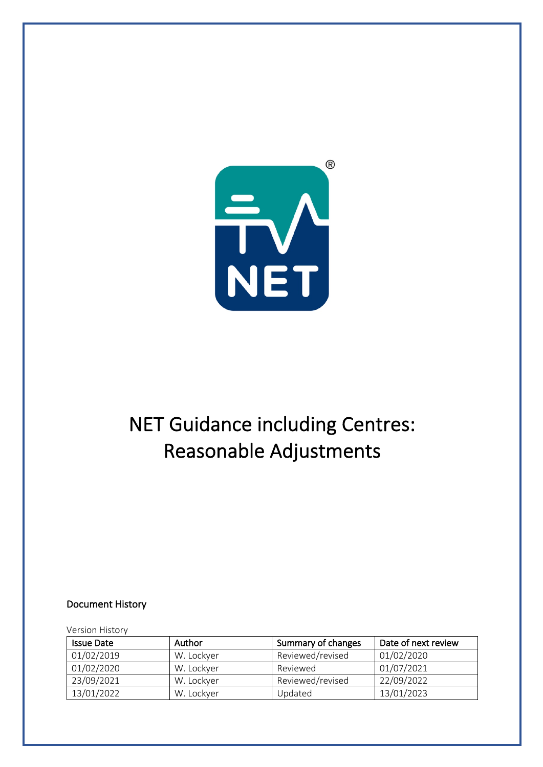

# NET Guidance including Centres: Reasonable Adjustments

#### Document History

#### Version History

| <b>Issue Date</b> | Author     | Summary of changes | Date of next review |
|-------------------|------------|--------------------|---------------------|
| 01/02/2019        | W. Lockyer | Reviewed/revised   | 01/02/2020          |
| 01/02/2020        | W. Lockyer | Reviewed           | 01/07/2021          |
| 23/09/2021        | W. Lockyer | Reviewed/revised   | 22/09/2022          |
| 13/01/2022        | W. Lockyer | Updated            | 13/01/2023          |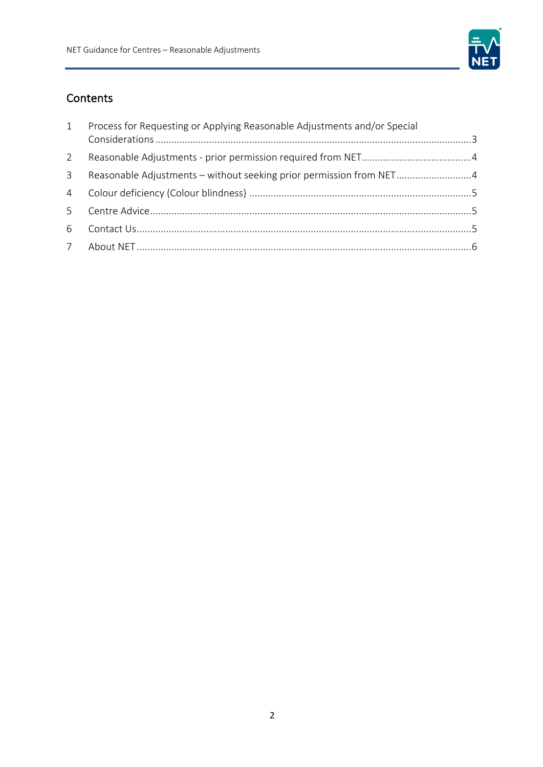

# Contents

| $\mathbf{1}$   | Process for Requesting or Applying Reasonable Adjustments and/or Special |  |
|----------------|--------------------------------------------------------------------------|--|
|                |                                                                          |  |
| $\mathcal{P}$  |                                                                          |  |
| $\mathcal{E}$  | Reasonable Adjustments - without seeking prior permission from NET4      |  |
| $\overline{4}$ |                                                                          |  |
| 5              |                                                                          |  |
| 6              |                                                                          |  |
|                |                                                                          |  |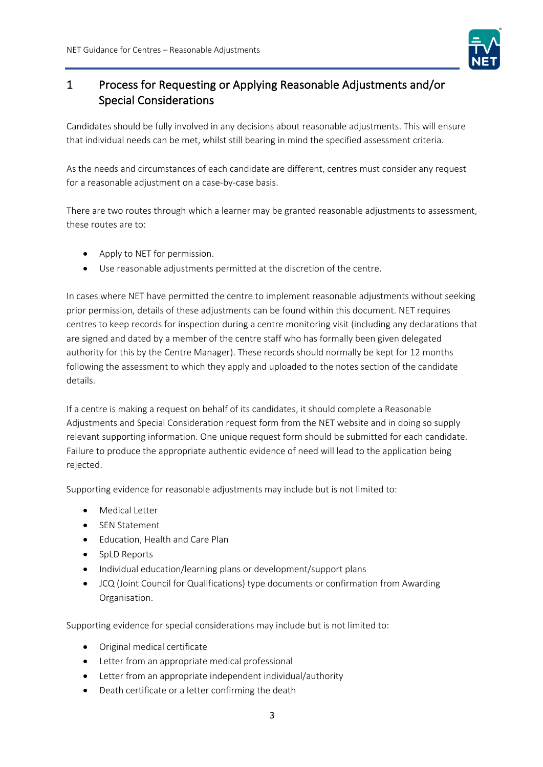

## 1 Process for Requesting or Applying Reasonable Adjustments and/or Special Considerations

Candidates should be fully involved in any decisions about reasonable adjustments. This will ensure that individual needs can be met, whilst still bearing in mind the specified assessment criteria.

As the needs and circumstances of each candidate are different, centres must consider any request for a reasonable adjustment on a case-by-case basis.

There are two routes through which a learner may be granted reasonable adjustments to assessment, these routes are to:

- Apply to NET for permission.
- Use reasonable adjustments permitted at the discretion of the centre.

In cases where NET have permitted the centre to implement reasonable adjustments without seeking prior permission, details of these adjustments can be found within this document. NET requires centres to keep records for inspection during a centre monitoring visit (including any declarations that are signed and dated by a member of the centre staff who has formally been given delegated authority for this by the Centre Manager). These records should normally be kept for 12 months following the assessment to which they apply and uploaded to the notes section of the candidate details.

If a centre is making a request on behalf of its candidates, it should complete a Reasonable Adjustments and Special Consideration request form from the NET website and in doing so supply relevant supporting information. One unique request form should be submitted for each candidate. Failure to produce the appropriate authentic evidence of need will lead to the application being rejected.

Supporting evidence for reasonable adjustments may include but is not limited to:

- Medical Letter
- SEN Statement
- Education, Health and Care Plan
- SpLD Reports
- Individual education/learning plans or development/support plans
- JCQ (Joint Council for Qualifications) type documents or confirmation from Awarding Organisation.

Supporting evidence for special considerations may include but is not limited to:

- Original medical certificate
- Letter from an appropriate medical professional
- Letter from an appropriate independent individual/authority
- Death certificate or a letter confirming the death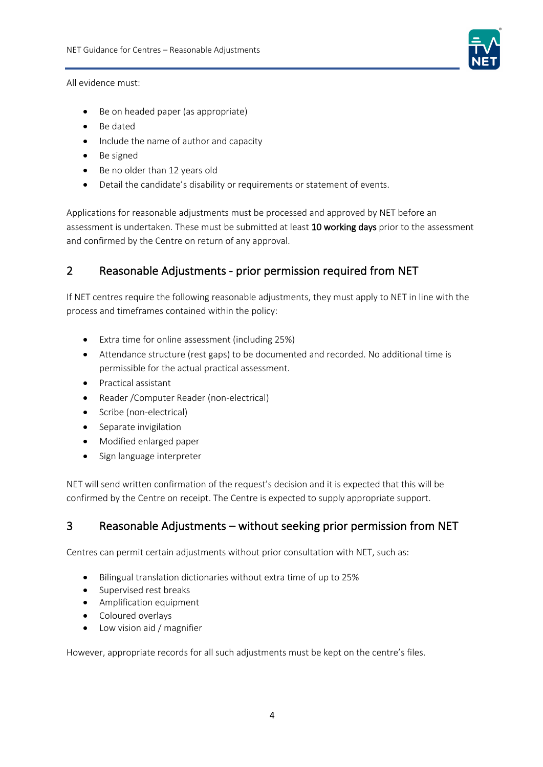

All evidence must:

- Be on headed paper (as appropriate)
- Be dated
- Include the name of author and capacity
- Be signed
- Be no older than 12 years old
- Detail the candidate's disability or requirements or statement of events.

Applications for reasonable adjustments must be processed and approved by NET before an assessment is undertaken. These must be submitted at least 10 working days prior to the assessment and confirmed by the Centre on return of any approval.

## 2 Reasonable Adjustments - prior permission required from NET

If NET centres require the following reasonable adjustments, they must apply to NET in line with the process and timeframes contained within the policy:

- Extra time for online assessment (including 25%)
- Attendance structure (rest gaps) to be documented and recorded. No additional time is permissible for the actual practical assessment.
- Practical assistant
- Reader /Computer Reader (non-electrical)
- Scribe (non-electrical)
- Separate invigilation
- Modified enlarged paper
- Sign language interpreter

NET will send written confirmation of the request's decision and it is expected that this will be confirmed by the Centre on receipt. The Centre is expected to supply appropriate support.

#### 3 Reasonable Adjustments – without seeking prior permission from NET

Centres can permit certain adjustments without prior consultation with NET, such as:

- Bilingual translation dictionaries without extra time of up to 25%
- Supervised rest breaks
- Amplification equipment
- Coloured overlays
- Low vision aid / magnifier

However, appropriate records for all such adjustments must be kept on the centre's files.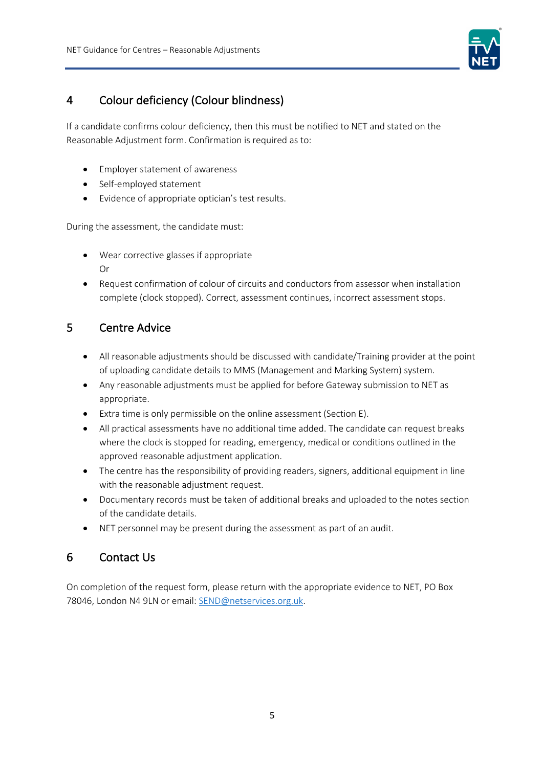

## 4 Colour deficiency (Colour blindness)

If a candidate confirms colour deficiency, then this must be notified to NET and stated on the Reasonable Adjustment form. Confirmation is required as to:

- Employer statement of awareness
- Self-employed statement
- Evidence of appropriate optician's test results.

During the assessment, the candidate must:

- Wear corrective glasses if appropriate Or
- Request confirmation of colour of circuits and conductors from assessor when installation complete (clock stopped). Correct, assessment continues, incorrect assessment stops.

#### 5 Centre Advice

- All reasonable adjustments should be discussed with candidate/Training provider at the point of uploading candidate details to MMS (Management and Marking System) system.
- Any reasonable adjustments must be applied for before Gateway submission to NET as appropriate.
- Extra time is only permissible on the online assessment (Section E).
- All practical assessments have no additional time added. The candidate can request breaks where the clock is stopped for reading, emergency, medical or conditions outlined in the approved reasonable adjustment application.
- The centre has the responsibility of providing readers, signers, additional equipment in line with the reasonable adjustment request.
- Documentary records must be taken of additional breaks and uploaded to the notes section of the candidate details.
- NET personnel may be present during the assessment as part of an audit.

#### 6 Contact Us

On completion of the request form, please return with the appropriate evidence to NET, PO Box 78046, London N4 9LN or email: SEND@netservices.org.uk.